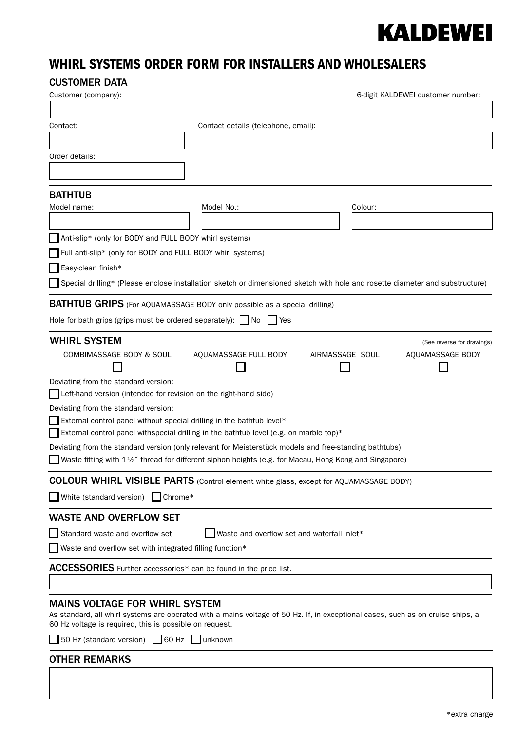## **KALDEWEI**

## WHIRL SYSTEMS ORDER FORM FOR INSTALLERS AND WHOLESALERS

## CUSTOMER DATA

| Customer (company):                                                                                                                                                                                                                 |                                             |                 | 6-digit KALDEWEI customer number: |
|-------------------------------------------------------------------------------------------------------------------------------------------------------------------------------------------------------------------------------------|---------------------------------------------|-----------------|-----------------------------------|
|                                                                                                                                                                                                                                     |                                             |                 |                                   |
| Contact:                                                                                                                                                                                                                            | Contact details (telephone, email):         |                 |                                   |
| Order details:                                                                                                                                                                                                                      |                                             |                 |                                   |
|                                                                                                                                                                                                                                     |                                             |                 |                                   |
| <b>BATHTUB</b>                                                                                                                                                                                                                      |                                             |                 |                                   |
| Model name:                                                                                                                                                                                                                         | Model No.:                                  | Colour:         |                                   |
|                                                                                                                                                                                                                                     |                                             |                 |                                   |
| Anti-slip* (only for BODY and FULL BODY whirl systems)                                                                                                                                                                              |                                             |                 |                                   |
| Full anti-slip* (only for BODY and FULL BODY whirl systems)                                                                                                                                                                         |                                             |                 |                                   |
| Easy-clean finish*                                                                                                                                                                                                                  |                                             |                 |                                   |
| Special drilling* (Please enclose installation sketch or dimensioned sketch with hole and rosette diameter and substructure)                                                                                                        |                                             |                 |                                   |
| <b>BATHTUB GRIPS</b> (For AQUAMASSAGE BODY only possible as a special drilling)                                                                                                                                                     |                                             |                 |                                   |
| Hole for bath grips (grips must be ordered separately): $\Box$ No                                                                                                                                                                   | I Yes                                       |                 |                                   |
| <b>WHIRL SYSTEM</b>                                                                                                                                                                                                                 |                                             |                 | (See reverse for drawings)        |
| COMBIMASSAGE BODY & SOUL                                                                                                                                                                                                            | AQUAMASSAGE FULL BODY                       | AIRMASSAGE SOUL | AQUAMASSAGE BODY                  |
| Deviating from the standard version:                                                                                                                                                                                                |                                             |                 |                                   |
| $\Box$ Left-hand version (intended for revision on the right-hand side)                                                                                                                                                             |                                             |                 |                                   |
| Deviating from the standard version:<br>$\Box$ External control panel without special drilling in the bathtub level*                                                                                                                |                                             |                 |                                   |
| External control panel withspecial drilling in the bathtub level (e.g. on marble top)*                                                                                                                                              |                                             |                 |                                   |
| Deviating from the standard version (only relevant for Meisterstück models and free-standing bathtubs):<br>Waste fitting with 1½" thread for different siphon heights (e.g. for Macau, Hong Kong and Singapore)                     |                                             |                 |                                   |
| COLOUR WHIRL VISIBLE PARTS (Control element white glass, except for AQUAMASSAGE BODY)                                                                                                                                               |                                             |                 |                                   |
| White (standard version) Chrome*                                                                                                                                                                                                    |                                             |                 |                                   |
| <b>WASTE AND OVERFLOW SET</b>                                                                                                                                                                                                       |                                             |                 |                                   |
| Standard waste and overflow set                                                                                                                                                                                                     | Waste and overflow set and waterfall inlet* |                 |                                   |
| Waste and overflow set with integrated filling function*                                                                                                                                                                            |                                             |                 |                                   |
| ACCESSORIES Further accessories* can be found in the price list.                                                                                                                                                                    |                                             |                 |                                   |
|                                                                                                                                                                                                                                     |                                             |                 |                                   |
| <b>MAINS VOLTAGE FOR WHIRL SYSTEM</b><br>As standard, all whirl systems are operated with a mains voltage of 50 Hz. If, in exceptional cases, such as on cruise ships, a<br>60 Hz voltage is required, this is possible on request. |                                             |                 |                                   |
| 50 Hz (standard version) 60 Hz unknown                                                                                                                                                                                              |                                             |                 |                                   |
| <b>OTHER REMARKS</b>                                                                                                                                                                                                                |                                             |                 |                                   |
|                                                                                                                                                                                                                                     |                                             |                 |                                   |
|                                                                                                                                                                                                                                     |                                             |                 |                                   |